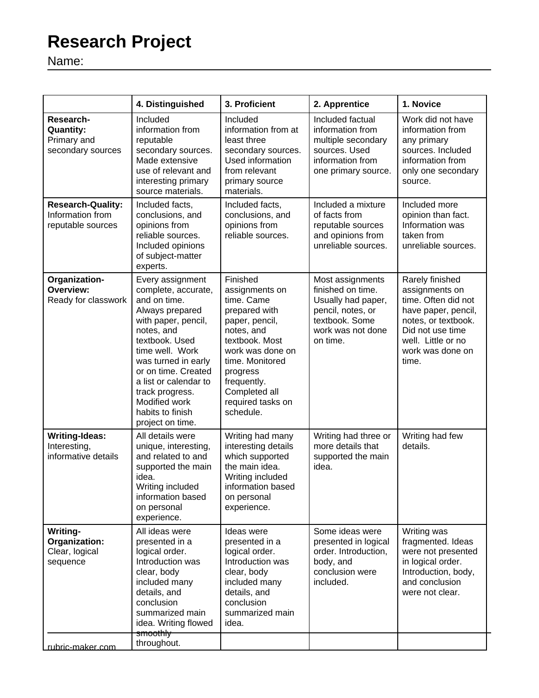## **Research Project**

Name:

|                                                                   | 4. Distinguished                                                                                                                                                                                                                                                                                        | 3. Proficient                                                                                                                                                                                                                    | 2. Apprentice                                                                                                                       | 1. Novice                                                                                                                                                                     |
|-------------------------------------------------------------------|---------------------------------------------------------------------------------------------------------------------------------------------------------------------------------------------------------------------------------------------------------------------------------------------------------|----------------------------------------------------------------------------------------------------------------------------------------------------------------------------------------------------------------------------------|-------------------------------------------------------------------------------------------------------------------------------------|-------------------------------------------------------------------------------------------------------------------------------------------------------------------------------|
| Research-<br><b>Quantity:</b><br>Primary and<br>secondary sources | Included<br>information from<br>reputable<br>secondary sources.<br>Made extensive<br>use of relevant and<br>interesting primary<br>source materials.                                                                                                                                                    | Included<br>information from at<br>least three<br>secondary sources.<br>Used information<br>from relevant<br>primary source<br>materials.                                                                                        | Included factual<br>information from<br>multiple secondary<br>sources. Used<br>information from<br>one primary source.              | Work did not have<br>information from<br>any primary<br>sources. Included<br>information from<br>only one secondary<br>source.                                                |
| <b>Research-Quality:</b><br>Information from<br>reputable sources | Included facts,<br>conclusions, and<br>opinions from<br>reliable sources.<br>Included opinions<br>of subject-matter<br>experts.                                                                                                                                                                         | Included facts,<br>conclusions, and<br>opinions from<br>reliable sources.                                                                                                                                                        | Included a mixture<br>of facts from<br>reputable sources<br>and opinions from<br>unreliable sources.                                | Included more<br>opinion than fact.<br>Information was<br>taken from<br>unreliable sources.                                                                                   |
| Organization-<br>Overview:<br>Ready for classwork                 | Every assignment<br>complete, accurate,<br>and on time.<br>Always prepared<br>with paper, pencil,<br>notes, and<br>textbook. Used<br>time well. Work<br>was turned in early<br>or on time. Created<br>a list or calendar to<br>track progress.<br>Modified work<br>habits to finish<br>project on time. | Finished<br>assignments on<br>time. Came<br>prepared with<br>paper, pencil,<br>notes, and<br>textbook. Most<br>work was done on<br>time. Monitored<br>progress<br>frequently.<br>Completed all<br>required tasks on<br>schedule. | Most assignments<br>finished on time.<br>Usually had paper,<br>pencil, notes, or<br>textbook. Some<br>work was not done<br>on time. | Rarely finished<br>assignments on<br>time. Often did not<br>have paper, pencil,<br>notes, or textbook.<br>Did not use time<br>well. Little or no<br>work was done on<br>time. |
| <b>Writing-Ideas:</b><br>Interesting,<br>informative details      | All details were<br>unique, interesting,<br>and related to and<br>supported the main<br>idea.<br>Writing included<br>information based<br>on personal<br>experience.                                                                                                                                    | Writing had many<br>interesting details<br>which supported<br>the main idea.<br>Writing included<br>information based<br>on personal<br>experience.                                                                              | Writing had three or<br>more details that<br>supported the main<br>idea.                                                            | Writing had few<br>details.                                                                                                                                                   |
| Writing-<br>Organization:<br>Clear, logical<br>sequence           | All ideas were<br>presented in a<br>logical order.<br>Introduction was<br>clear, body<br>included many<br>details, and<br>conclusion<br>summarized main<br>idea. Writing flowed<br>smoothly                                                                                                             | Ideas were<br>presented in a<br>logical order.<br>Introduction was<br>clear, body<br>included many<br>details, and<br>conclusion<br>summarized main<br>idea.                                                                     | Some ideas were<br>presented in logical<br>order. Introduction,<br>body, and<br>conclusion were<br>included.                        | Writing was<br>fragmented. Ideas<br>were not presented<br>in logical order.<br>Introduction, body,<br>and conclusion<br>were not clear.                                       |
| rubric-maker.com                                                  | throughout.                                                                                                                                                                                                                                                                                             |                                                                                                                                                                                                                                  |                                                                                                                                     |                                                                                                                                                                               |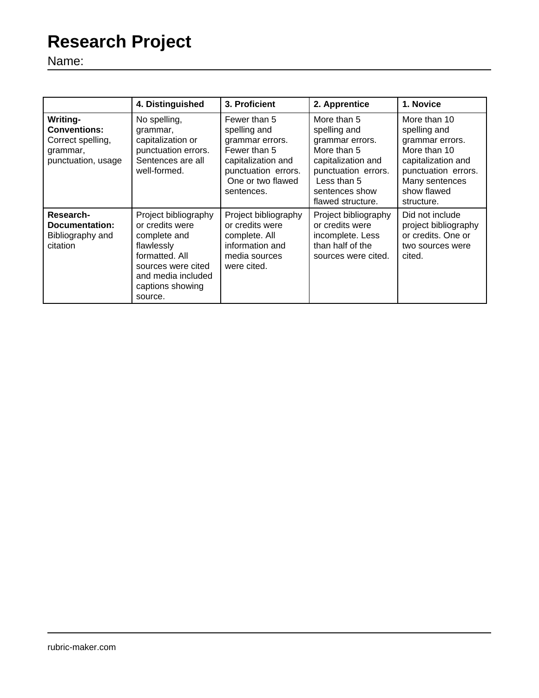## **Research Project**

Name:

|                                                                                        | 4. Distinguished                                                                                                                                                   | 3. Proficient                                                                                                                                   | 2. Apprentice                                                                                                                                                    | 1. Novice                                                                                                                                                   |
|----------------------------------------------------------------------------------------|--------------------------------------------------------------------------------------------------------------------------------------------------------------------|-------------------------------------------------------------------------------------------------------------------------------------------------|------------------------------------------------------------------------------------------------------------------------------------------------------------------|-------------------------------------------------------------------------------------------------------------------------------------------------------------|
| Writing-<br><b>Conventions:</b><br>Correct spelling,<br>grammar,<br>punctuation, usage | No spelling,<br>grammar,<br>capitalization or<br>punctuation errors.<br>Sentences are all<br>well-formed.                                                          | Fewer than 5<br>spelling and<br>grammar errors.<br>Fewer than 5<br>capitalization and<br>punctuation errors.<br>One or two flawed<br>sentences. | More than 5<br>spelling and<br>grammar errors.<br>More than 5<br>capitalization and<br>punctuation errors.<br>Less than 5<br>sentences show<br>flawed structure. | More than 10<br>spelling and<br>grammar errors.<br>More than 10<br>capitalization and<br>punctuation errors.<br>Many sentences<br>show flawed<br>structure. |
| Research-<br>Documentation:<br>Bibliography and<br>citation                            | Project bibliography<br>or credits were<br>complete and<br>flawlessly<br>formatted, All<br>sources were cited<br>and media included<br>captions showing<br>source. | Project bibliography<br>or credits were<br>complete. All<br>information and<br>media sources<br>were cited.                                     | Project bibliography<br>or credits were<br>incomplete. Less<br>than half of the<br>sources were cited.                                                           | Did not include<br>project bibliography<br>or credits. One or<br>two sources were<br>cited.                                                                 |